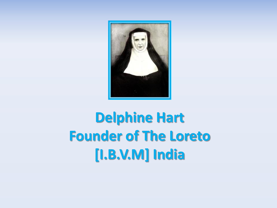

## **Delphine Hart Founder of The Loreto [I.B.V.M] India**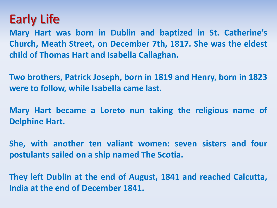## Early Life

**Mary Hart was born in Dublin and baptized in St. Catherine's Church, Meath Street, on December 7th, 1817. She was the eldest child of Thomas Hart and Isabella Callaghan.**

**Two brothers, Patrick Joseph, born in 1819 and Henry, born in 1823 were to follow, while Isabella came last.**

**Mary Hart became a Loreto nun taking the religious name of Delphine Hart.**

**She, with another ten valiant women: seven sisters and four postulants sailed on a ship named The Scotia.**

**They left Dublin at the end of August, 1841 and reached Calcutta, India at the end of December 1841.**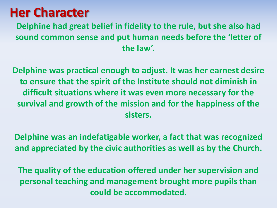## **Her Character**

**Delphine had great belief in fidelity to the rule, but she also had sound common sense and put human needs before the 'letter of the law'.** 

**Delphine was practical enough to adjust. It was her earnest desire to ensure that the spirit of the Institute should not diminish in difficult situations where it was even more necessary for the survival and growth of the mission and for the happiness of the sisters.** 

**Delphine was an indefatigable worker, a fact that was recognized and appreciated by the civic authorities as well as by the Church.**

**The quality of the education offered under her supervision and personal teaching and management brought more pupils than could be accommodated.**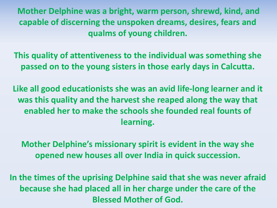**Mother Delphine was a bright, warm person, shrewd, kind, and capable of discerning the unspoken dreams, desires, fears and qualms of young children.** 

**This quality of attentiveness to the individual was something she passed on to the young sisters in those early days in Calcutta.** 

**Like all good educationists she was an avid life-long learner and it was this quality and the harvest she reaped along the way that enabled her to make the schools she founded real founts of learning.** 

**Mother Delphine's missionary spirit is evident in the way she opened new houses all over India in quick succession.** 

**In the times of the uprising Delphine said that she was never afraid because she had placed all in her charge under the care of the Blessed Mother of God.**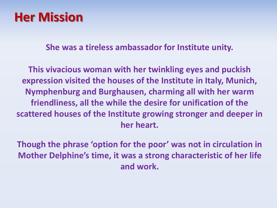## **Her Mission**

**She was a tireless ambassador for Institute unity.** 

**This vivacious woman with her twinkling eyes and puckish expression visited the houses of the Institute in Italy, Munich, Nymphenburg and Burghausen, charming all with her warm friendliness, all the while the desire for unification of the scattered houses of the Institute growing stronger and deeper in her heart.**

**Though the phrase 'option for the poor' was not in circulation in Mother Delphine's time, it was a strong characteristic of her life and work.**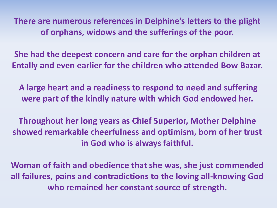**There are numerous references in Delphine's letters to the plight of orphans, widows and the sufferings of the poor.** 

**She had the deepest concern and care for the orphan children at Entally and even earlier for the children who attended Bow Bazar.**

**A large heart and a readiness to respond to need and suffering were part of the kindly nature with which God endowed her.**

**Throughout her long years as Chief Superior, Mother Delphine showed remarkable cheerfulness and optimism, born of her trust in God who is always faithful.** 

**Woman of faith and obedience that she was, she just commended all failures, pains and contradictions to the loving all-knowing God who remained her constant source of strength.**